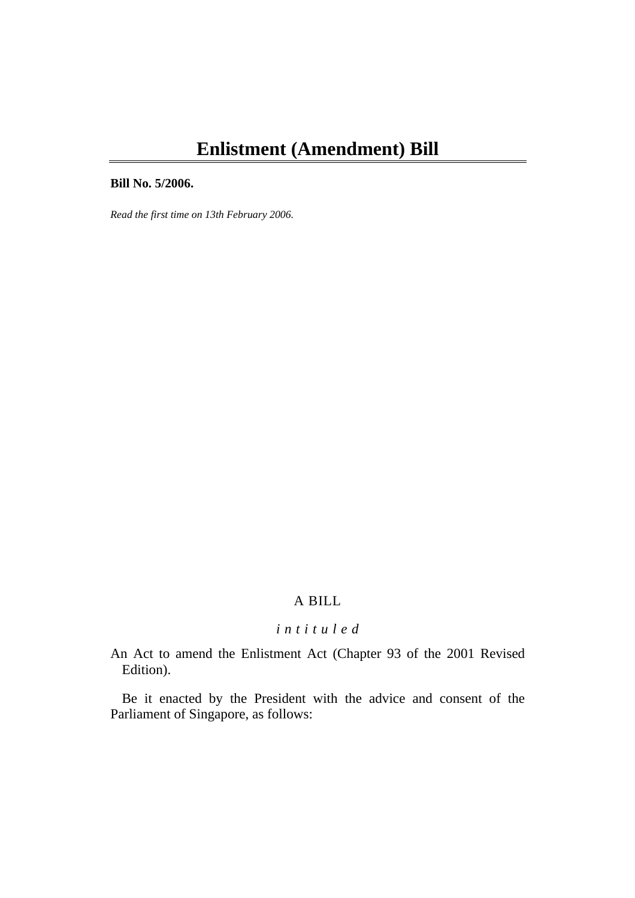# **Enlistment (Amendment) Bill**

#### **Bill No. 5/2006.**

*Read the first time on 13th February 2006.* 

## A BILL

# *i n t i t u l e d*

An Act to amend the Enlistment Act (Chapter 93 of the 2001 Revised Edition).

Be it enacted by the President with the advice and consent of the Parliament of Singapore, as follows: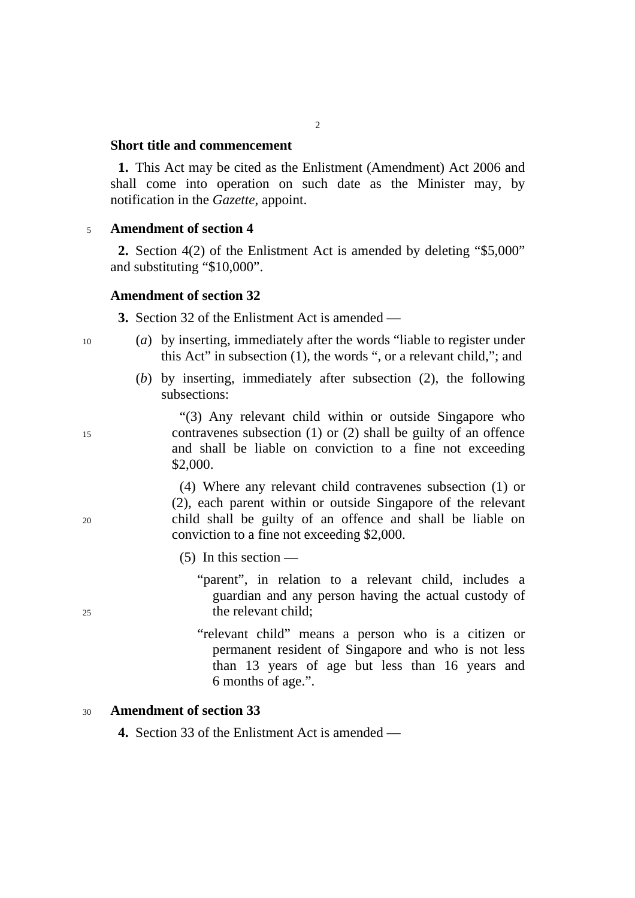#### **Short title and commencement**

**1.** This Act may be cited as the Enlistment (Amendment) Act 2006 and shall come into operation on such date as the Minister may, by notification in the *Gazette*, appoint.

 $\overline{2}$ 

#### <sup>5</sup>**Amendment of section 4**

**2.** Section 4(2) of the Enlistment Act is amended by deleting "\$5,000" and substituting "\$10,000".

#### **Amendment of section 32**

**3.** Section 32 of the Enlistment Act is amended —

- 10 (*a*) by inserting, immediately after the words "liable to register under this Act" in subsection (1), the words ", or a relevant child,"; and
	- (*b*) by inserting, immediately after subsection (2), the following subsections:

"(3) Any relevant child within or outside Singapore who 15 contravenes subsection (1) or (2) shall be guilty of an offence and shall be liable on conviction to a fine not exceeding \$2,000.

(4) Where any relevant child contravenes subsection (1) or (2), each parent within or outside Singapore of the relevant 20 child shall be guilty of an offence and shall be liable on conviction to a fine not exceeding \$2,000.

 $(5)$  In this section —

"parent", in relation to a relevant child, includes a guardian and any person having the actual custody of 25 the relevant child;

> "relevant child" means a person who is a citizen or permanent resident of Singapore and who is not less than 13 years of age but less than 16 years and 6 months of age.".

#### <sup>30</sup>**Amendment of section 33**

**4.** Section 33 of the Enlistment Act is amended —